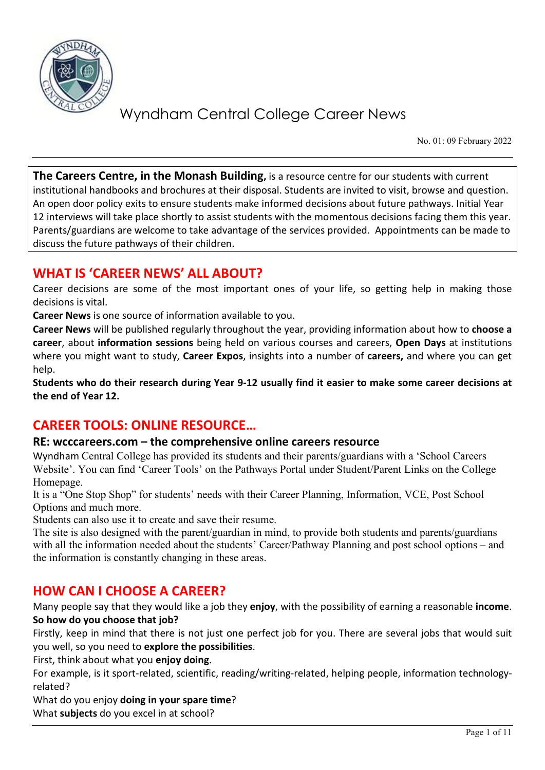

No. 01: 09 February 2022

**The Careers Centre, in the Monash Building,** is a resource centre for our students with current institutional handbooks and brochures at their disposal. Students are invited to visit, browse and question. An open door policy exits to ensure students make informed decisions about future pathways. Initial Year 12 interviews will take place shortly to assist students with the momentous decisions facing them this year. Parents/guardians are welcome to take advantage of the services provided. Appointments can be made to discuss the future pathways of their children.

### **WHAT IS 'CAREER NEWS' ALL ABOUT?**

Career decisions are some of the most important ones of your life, so getting help in making those decisions is vital.

**Career News** is one source of information available to you.

**Career News** will be published regularly throughout the year, providing information about how to **choose a career**, about **information sessions** being held on various courses and careers, **Open Days** at institutions where you might want to study, **Career Expos**, insights into a number of **careers,** and where you can get help.

**Students who do their research during Year 9-12 usually find it easier to make some career decisions at the end of Year 12.**

## **CAREER TOOLS: ONLINE RESOURCE…**

#### **RE: wcccareers.com – the comprehensive online careers resource**

Wyndham Central College has provided its students and their parents/guardians with a 'School Careers Website'. You can find 'Career Tools' on the Pathways Portal under Student/Parent Links on the College Homepage.

It is a "One Stop Shop" for students' needs with their Career Planning, Information, VCE, Post School Options and much more.

Students can also use it to create and save their resume.

The site is also designed with the parent/guardian in mind, to provide both students and parents/guardians with all the information needed about the students' Career/Pathway Planning and post school options – and the information is constantly changing in these areas.

## **HOW CAN I CHOOSE A CAREER?**

Many people say that they would like a job they **enjoy**, with the possibility of earning a reasonable **income**. **So how do you choose that job?**

Firstly, keep in mind that there is not just one perfect job for you. There are several jobs that would suit you well, so you need to **explore the possibilities**.

First, think about what you **enjoy doing**.

For example, is it sport-related, scientific, reading/writing-related, helping people, information technologyrelated?

What do you enjoy **doing in your spare time**?

What **subjects** do you excel in at school?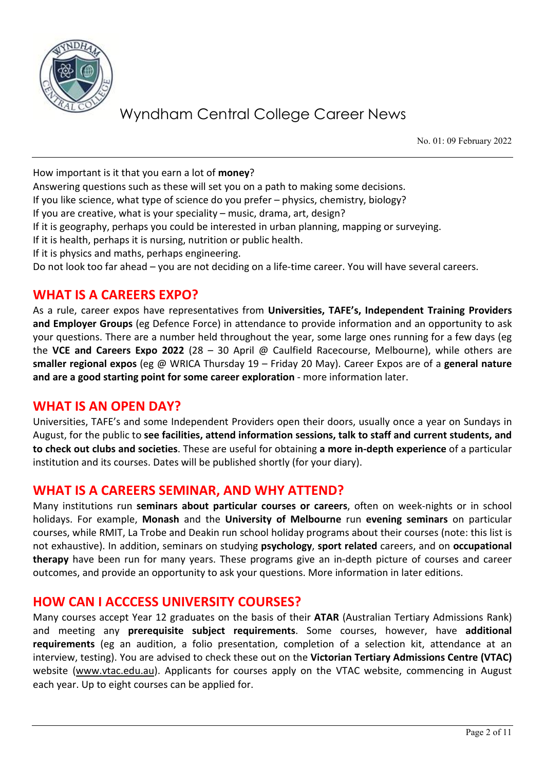

No. 01: 09 February 2022

How important is it that you earn a lot of **money**?

Answering questions such as these will set you on a path to making some decisions.

If you like science, what type of science do you prefer – physics, chemistry, biology?

If you are creative, what is your speciality – music, drama, art, design?

If it is geography, perhaps you could be interested in urban planning, mapping or surveying.

If it is health, perhaps it is nursing, nutrition or public health.

If it is physics and maths, perhaps engineering.

Do not look too far ahead – you are not deciding on a life-time career. You will have several careers.

## **WHAT IS A CAREERS EXPO?**

As a rule, career expos have representatives from **Universities, TAFE's, Independent Training Providers and Employer Groups** (eg Defence Force) in attendance to provide information and an opportunity to ask your questions. There are a number held throughout the year, some large ones running for a few days (eg the **VCE and Careers Expo 2022** (28 – 30 April @ Caulfield Racecourse, Melbourne), while others are **smaller regional expos** (eg @ WRICA Thursday 19 – Friday 20 May). Career Expos are of a **general nature and are a good starting point for some career exploration** - more information later.

### **WHAT IS AN OPEN DAY?**

Universities, TAFE's and some Independent Providers open their doors, usually once a year on Sundays in August, for the public to **see facilities, attend information sessions, talk to staff and current students, and to check out clubs and societies**. These are useful for obtaining **a more in-depth experience** of a particular institution and its courses. Dates will be published shortly (for your diary).

### **WHAT IS A CAREERS SEMINAR, AND WHY ATTEND?**

Many institutions run **seminars about particular courses or careers**, often on week-nights or in school holidays. For example, **Monash** and the **University of Melbourne** run **evening seminars** on particular courses, while RMIT, La Trobe and Deakin run school holiday programs about their courses (note: this list is not exhaustive). In addition, seminars on studying **psychology**, **sport related** careers, and on **occupational therapy** have been run for many years. These programs give an in-depth picture of courses and career outcomes, and provide an opportunity to ask your questions. More information in later editions.

### **HOW CAN I ACCCESS UNIVERSITY COURSES?**

Many courses accept Year 12 graduates on the basis of their **ATAR** (Australian Tertiary Admissions Rank) and meeting any **prerequisite subject requirements**. Some courses, however, have **additional requirements** (eg an audition, a folio presentation, completion of a selection kit, attendance at an interview, testing). You are advised to check these out on the **Victorian Tertiary Admissions Centre (VTAC)** website [\(www.vtac.edu.au\)](http://www.vtac.edu.au/). Applicants for courses apply on the VTAC website, commencing in August each year. Up to eight courses can be applied for.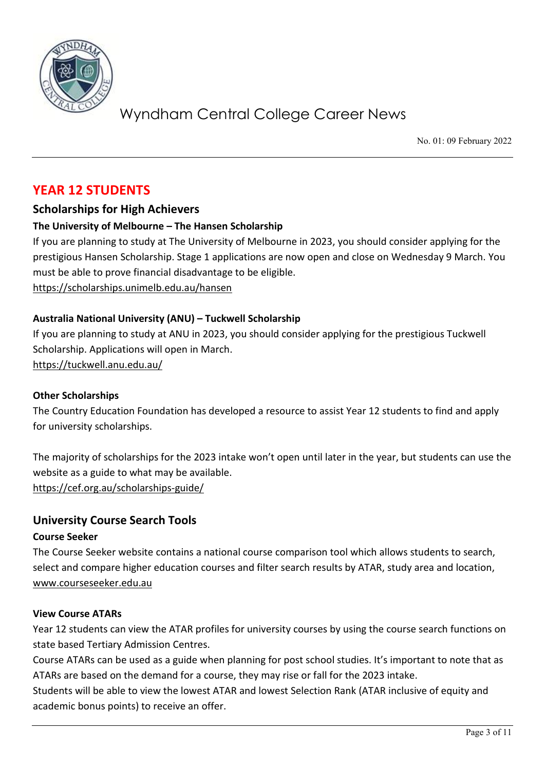

No. 01: 09 February 2022

## **YEAR 12 STUDENTS**

#### **Scholarships for High Achievers**

#### **The University of Melbourne – The Hansen Scholarship**

If you are planning to study at The University of Melbourne in 2023, you should consider applying for the prestigious Hansen Scholarship. Stage 1 applications are now open and close on Wednesday 9 March. You must be able to prove financial disadvantage to be eligible.

<https://scholarships.unimelb.edu.au/hansen>

#### **Australia National University (ANU) – Tuckwell Scholarship**

If you are planning to study at ANU in 2023, you should consider applying for the prestigious Tuckwell Scholarship. Applications will open in March. <https://tuckwell.anu.edu.au/>

#### **Other Scholarships**

The Country Education Foundation has developed a resource to assist Year 12 students to find and apply for university scholarships.

The majority of scholarships for the 2023 intake won't open until later in the year, but students can use the website as a guide to what may be available.

<https://cef.org.au/scholarships-guide/>

#### **University Course Search Tools**

#### **Course Seeker**

The Course Seeker website contains a national course comparison tool which allows students to search, select and compare higher education courses and filter search results by ATAR, study area and location, [www.courseseeker.edu.au](http://www.courseseeker.edu.au/)

#### **View Course ATARs**

Year 12 students can view the ATAR profiles for university courses by using the course search functions on state based Tertiary Admission Centres.

Course ATARs can be used as a guide when planning for post school studies. It's important to note that as ATARs are based on the demand for a course, they may rise or fall for the 2023 intake.

Students will be able to view the lowest ATAR and lowest Selection Rank (ATAR inclusive of equity and academic bonus points) to receive an offer.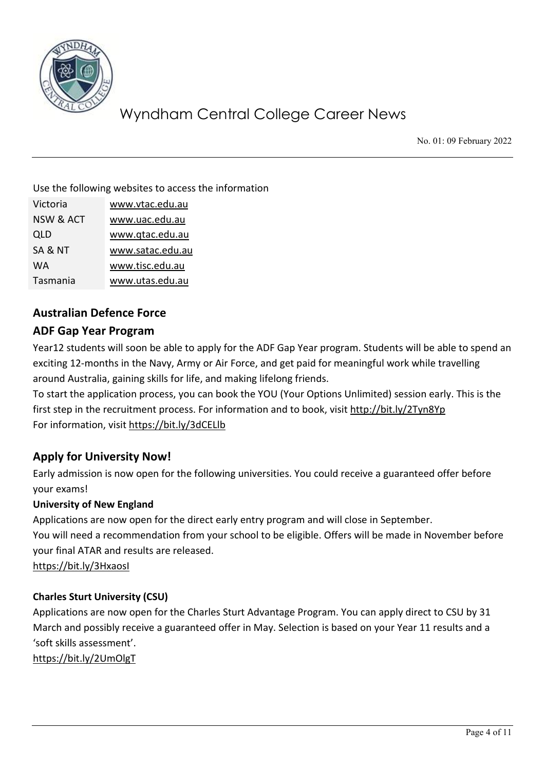

No. 01: 09 February 2022

Use the following websites to access the information

| Victoria             | www.vtac.edu.au  |
|----------------------|------------------|
| <b>NSW &amp; ACT</b> | www.uac.edu.au   |
| QLD                  | www.qtac.edu.au  |
| SA & NT              | www.satac.edu.au |
| WА                   | www.tisc.edu.au  |
| Tasmania             | www.utas.edu.au  |

### **Australian Defence Force**

#### **ADF Gap Year Program**

Year12 students will soon be able to apply for the ADF Gap Year program. Students will be able to spend an exciting 12-months in the Navy, Army or Air Force, and get paid for meaningful work while travelling around Australia, gaining skills for life, and making lifelong friends.

To start the application process, you can book the YOU (Your Options Unlimited) session early. This is the first step in the recruitment process. For information and to book, visit<http://bit.ly/2Tyn8Yp> For information, visit<https://bit.ly/3dCELlb>

### **Apply for University Now!**

Early admission is now open for the following universities. You could receive a guaranteed offer before your exams!

#### **University of New England**

Applications are now open for the direct early entry program and will close in September.

You will need a recommendation from your school to be eligible. Offers will be made in November before your final ATAR and results are released.

<https://bit.ly/3HxaosI>

#### **Charles Sturt University (CSU)**

Applications are now open for the Charles Sturt Advantage Program. You can apply direct to CSU by 31 March and possibly receive a guaranteed offer in May. Selection is based on your Year 11 results and a 'soft skills assessment'.

<https://bit.ly/2UmOlgT>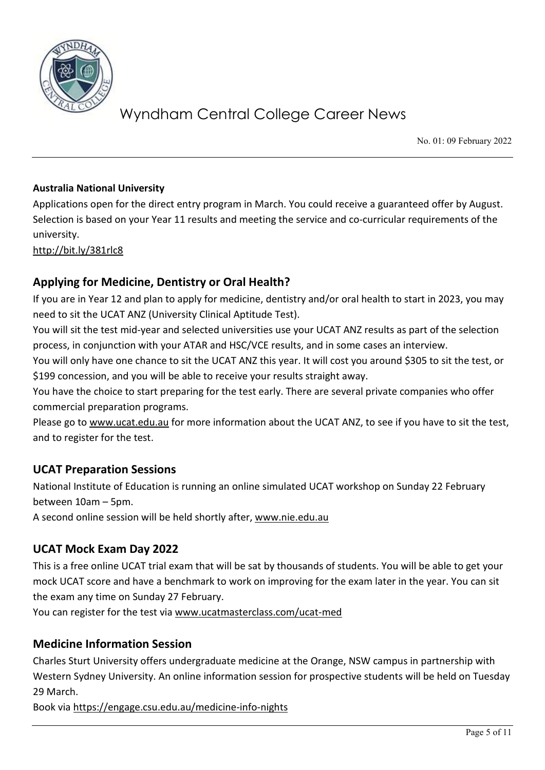

No. 01: 09 February 2022

#### **Australia National University**

Applications open for the direct entry program in March. You could receive a guaranteed offer by August. Selection is based on your Year 11 results and meeting the service and co-curricular requirements of the university.

<http://bit.ly/381rlc8>

#### **Applying for Medicine, Dentistry or Oral Health?**

If you are in Year 12 and plan to apply for medicine, dentistry and/or oral health to start in 2023, you may need to sit the UCAT ANZ (University Clinical Aptitude Test).

You will sit the test mid-year and selected universities use your UCAT ANZ results as part of the selection process, in conjunction with your ATAR and HSC/VCE results, and in some cases an interview.

You will only have one chance to sit the UCAT ANZ this year. It will cost you around \$305 to sit the test, or \$199 concession, and you will be able to receive your results straight away.

You have the choice to start preparing for the test early. There are several private companies who offer commercial preparation programs.

Please go to [www.ucat.edu.au](http://www.ucat.edu.au/) for more information about the UCAT ANZ, to see if you have to sit the test, and to register for the test.

#### **UCAT Preparation Sessions**

National Institute of Education is running an online simulated UCAT workshop on Sunday 22 February between 10am – 5pm.

A second online session will be held shortly after, [www.nie.edu.au](http://www.nie.edu.au/)

### **UCAT Mock Exam Day 2022**

This is a free online UCAT trial exam that will be sat by thousands of students. You will be able to get your mock UCAT score and have a benchmark to work on improving for the exam later in the year. You can sit the exam any time on Sunday 27 February.

You can register for the test via [www.ucatmasterclass.com/ucat-med](http://www.ucatmasterclass.com/ucat-med)

#### **Medicine Information Session**

Charles Sturt University offers undergraduate medicine at the Orange, NSW campus in partnership with Western Sydney University. An online information session for prospective students will be held on Tuesday 29 March.

Book via<https://engage.csu.edu.au/medicine-info-nights>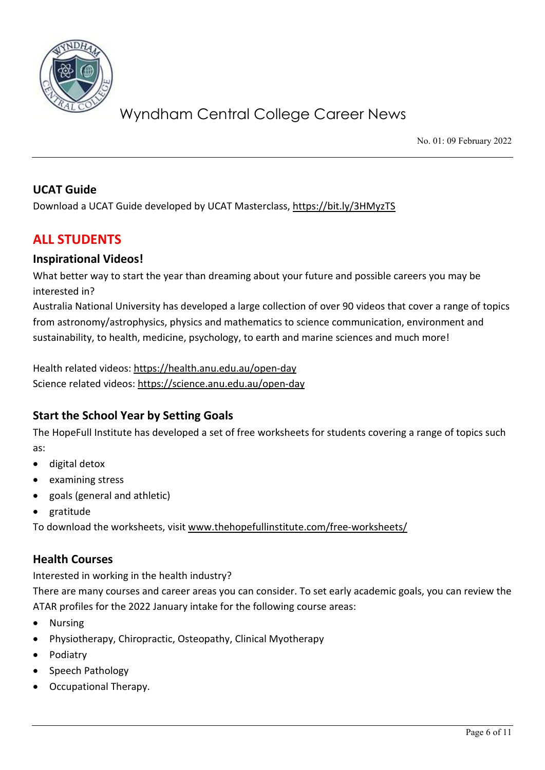

No. 01: 09 February 2022

#### **UCAT Guide**

Download a UCAT Guide developed by UCAT Masterclass,<https://bit.ly/3HMyzTS>

## **ALL STUDENTS**

#### **Inspirational Videos!**

What better way to start the year than dreaming about your future and possible careers you may be interested in?

Australia National University has developed a large collection of over 90 videos that cover a range of topics from astronomy/astrophysics, physics and mathematics to science communication, environment and sustainability, to health, medicine, psychology, to earth and marine sciences and much more!

Health related videos:<https://health.anu.edu.au/open-day> Science related videos:<https://science.anu.edu.au/open-day>

### **Start the School Year by Setting Goals**

The HopeFull Institute has developed a set of free worksheets for students covering a range of topics such as:

- digital detox
- examining stress
- goals (general and athletic)
- gratitude

To download the worksheets, visit [www.thehopefullinstitute.com/free-worksheets/](http://www.thehopefullinstitute.com/free-worksheets/)

#### **Health Courses**

Interested in working in the health industry?

There are many courses and career areas you can consider. To set early academic goals, you can review the ATAR profiles for the 2022 January intake for the following course areas:

- Nursing
- Physiotherapy, Chiropractic, Osteopathy, Clinical Myotherapy
- Podiatry
- Speech Pathology
- Occupational Therapy.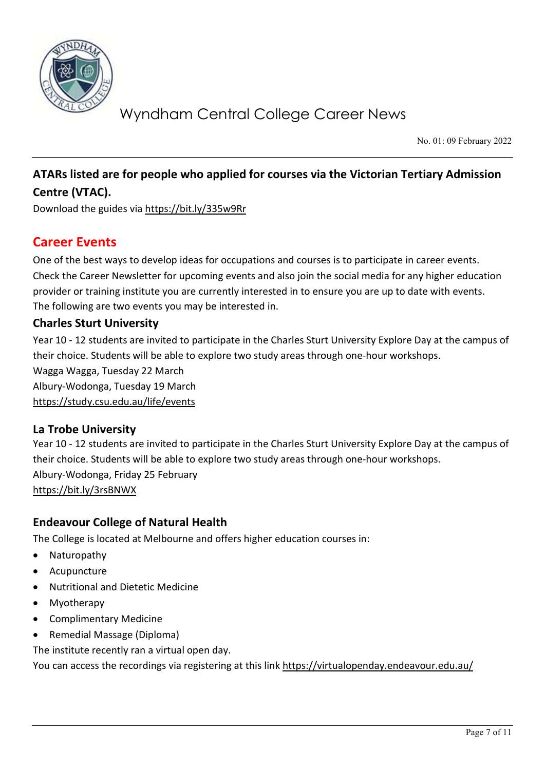

No. 01: 09 February 2022

## **ATARs listed are for people who applied for courses via the Victorian Tertiary Admission Centre (VTAC).**

Download the guides via<https://bit.ly/335w9Rr>

## **Career Events**

One of the best ways to develop ideas for occupations and courses is to participate in career events. Check the Career Newsletter for upcoming events and also join the social media for any higher education provider or training institute you are currently interested in to ensure you are up to date with events. The following are two events you may be interested in.

#### **Charles Sturt University**

Year 10 - 12 students are invited to participate in the Charles Sturt University Explore Day at the campus of their choice. Students will be able to explore two study areas through one-hour workshops. Wagga Wagga, Tuesday 22 March Albury-Wodonga, Tuesday 19 March <https://study.csu.edu.au/life/events>

#### **La Trobe University**

Year 10 - 12 students are invited to participate in the Charles Sturt University Explore Day at the campus of their choice. Students will be able to explore two study areas through one-hour workshops. Albury-Wodonga, Friday 25 February <https://bit.ly/3rsBNWX>

#### **Endeavour College of Natural Health**

The College is located at Melbourne and offers higher education courses in:

- Naturopathy
- Acupuncture
- Nutritional and Dietetic Medicine
- Myotherapy
- Complimentary Medicine
- Remedial Massage (Diploma)

The institute recently ran a virtual open day.

You can access the recordings via registering at this lin[k https://virtualopenday.endeavour.edu.au/](https://virtualopenday.endeavour.edu.au/)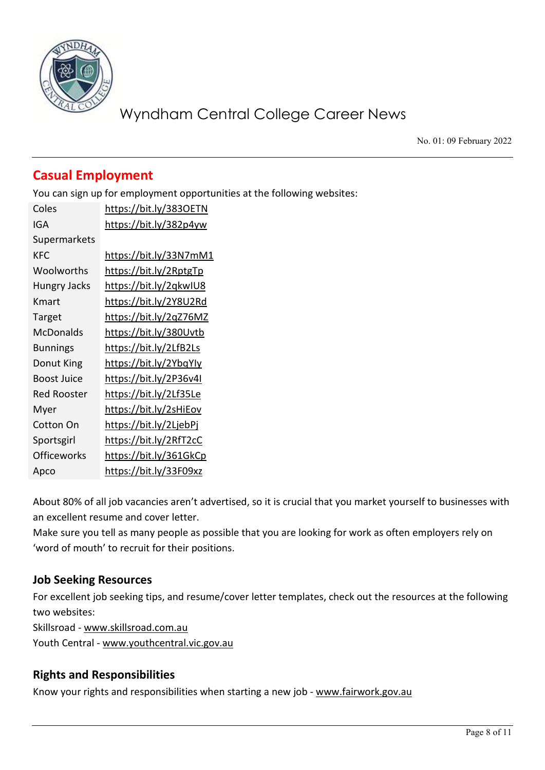

No. 01: 09 February 2022

## **Casual Employment**

You can sign up for employment opportunities at the following websites:

| Coles               | https://bit.ly/3830ETN |
|---------------------|------------------------|
| IGA                 | https://bit.ly/382p4yw |
| Supermarkets        |                        |
| <b>KFC</b>          | https://bit.ly/33N7mM1 |
| Woolworths          | https://bit.ly/2RptgTp |
| <b>Hungry Jacks</b> | https://bit.ly/2qkwIU8 |
| Kmart               | https://bit.ly/2Y8U2Rd |
| Target              | https://bit.ly/2qZ76MZ |
| McDonalds           | https://bit.ly/380Uvtb |
| <b>Bunnings</b>     | https://bit.ly/2LfB2Ls |
| Donut King          | https://bit.ly/2YbqYly |
| <b>Boost Juice</b>  | https://bit.ly/2P36v4I |
| <b>Red Rooster</b>  | https://bit.ly/2Lf35Le |
| Myer                | https://bit.ly/2sHiEov |
| <b>Cotton On</b>    | https://bit.ly/2LjebPj |
| Sportsgirl          | https://bit.ly/2RfT2cC |
| <b>Officeworks</b>  | https://bit.ly/361GkCp |
| Apco                | https://bit.ly/33F09xz |

About 80% of all job vacancies aren't advertised, so it is crucial that you market yourself to businesses with an excellent resume and cover letter.

Make sure you tell as many people as possible that you are looking for work as often employers rely on 'word of mouth' to recruit for their positions.

### **Job Seeking Resources**

For excellent job seeking tips, and resume/cover letter templates, check out the resources at the following two websites:

Skillsroad - [www.skillsroad.com.au](http://www.skillsroad.com.au/) 

Youth Central - [www.youthcentral.vic.gov.au](http://www.youthcentral.vic.gov.au/)

### **Rights and Responsibilities**

Know your rights and responsibilities when starting a new job - [www.fairwork.gov.au](http://www.fairwork.gov.au/)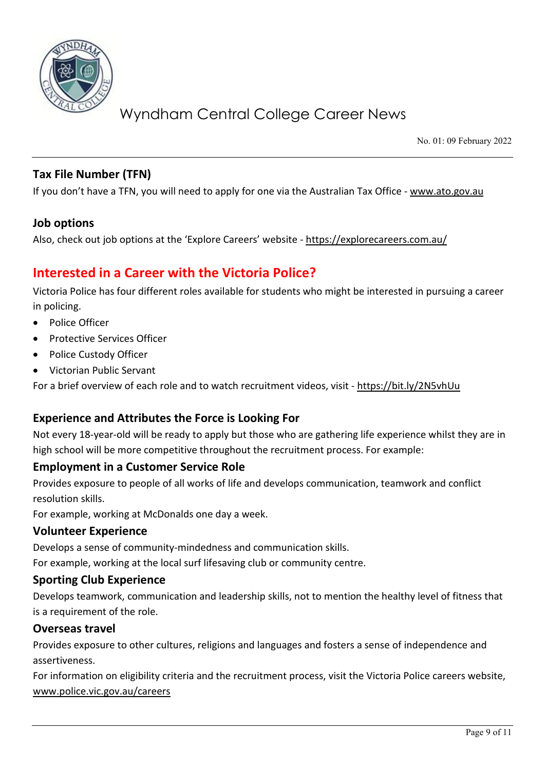

No. 01: 09 February 2022

### **Tax File Number (TFN)**

If you don't have a TFN, you will need to apply for one via the Australian Tax Office - [www.ato.gov.au](http://www.ato.gov.au/)

#### **Job options**

Also, check out job options at the 'Explore Careers' website - <https://explorecareers.com.au/>

## **Interested in a Career with the Victoria Police?**

Victoria Police has four different roles available for students who might be interested in pursuing a career in policing.

- Police Officer
- Protective Services Officer
- Police Custody Officer
- Victorian Public Servant

For a brief overview of each role and to watch recruitment videos, visit - <https://bit.ly/2N5vhUu>

#### **Experience and Attributes the Force is Looking For**

Not every 18-year-old will be ready to apply but those who are gathering life experience whilst they are in high school will be more competitive throughout the recruitment process. For example:

#### **Employment in a Customer Service Role**

Provides exposure to people of all works of life and develops communication, teamwork and conflict resolution skills.

For example, working at McDonalds one day a week.

#### **Volunteer Experience**

Develops a sense of community-mindedness and communication skills.

For example, working at the local surf lifesaving club or community centre.

#### **Sporting Club Experience**

Develops teamwork, communication and leadership skills, not to mention the healthy level of fitness that is a requirement of the role.

#### **Overseas travel**

Provides exposure to other cultures, religions and languages and fosters a sense of independence and assertiveness.

For information on eligibility criteria and the recruitment process, visit the Victoria Police careers website, [www.police.vic.gov.au/careers](http://www.police.vic.gov.au/careers)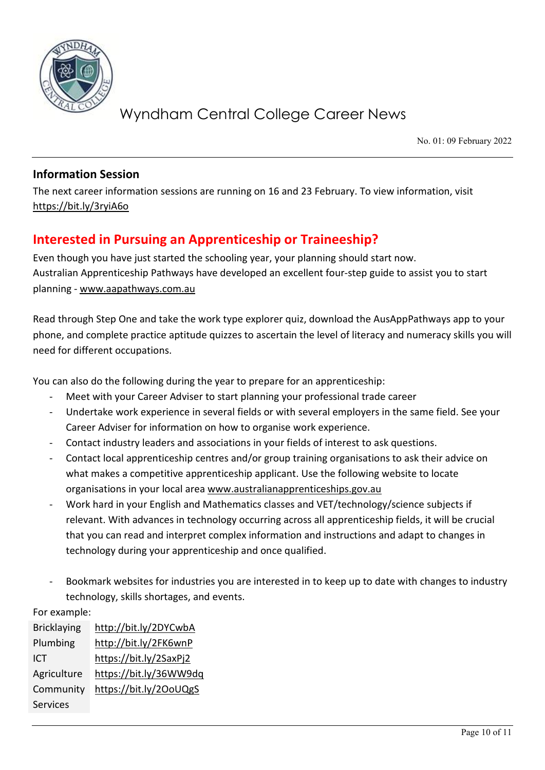

No. 01: 09 February 2022

#### **Information Session**

The next career information sessions are running on 16 and 23 February. To view information, visit <https://bit.ly/3ryiA6o>

## **Interested in Pursuing an Apprenticeship or Traineeship?**

Even though you have just started the schooling year, your planning should start now. Australian Apprenticeship Pathways have developed an excellent four-step guide to assist you to start planning - [www.aapathways.com.au](http://www.aapathways.com.au/)

Read through Step One and take the work type explorer quiz, download the AusAppPathways app to your phone, and complete practice aptitude quizzes to ascertain the level of literacy and numeracy skills you will need for different occupations.

You can also do the following during the year to prepare for an apprenticeship:

- Meet with your Career Adviser to start planning your professional trade career
- Undertake work experience in several fields or with several employers in the same field. See your Career Adviser for information on how to organise work experience.
- Contact industry leaders and associations in your fields of interest to ask questions.
- Contact local apprenticeship centres and/or group training organisations to ask their advice on what makes a competitive apprenticeship applicant. Use the following website to locate organisations in your local are[a www.australianapprenticeships.gov.au](http://www.australianapprenticeships.gov.au/)
- Work hard in your English and Mathematics classes and VET/technology/science subjects if relevant. With advances in technology occurring across all apprenticeship fields, it will be crucial that you can read and interpret complex information and instructions and adapt to changes in technology during your apprenticeship and once qualified.
- Bookmark websites for industries you are interested in to keep up to date with changes to industry technology, skills shortages, and events.

For example:

| <b>Bricklaying</b> | http://bit.ly/2DYCwbA  |
|--------------------|------------------------|
| Plumbing           | http://bit.ly/2FK6wnP  |
| ICT                | https://bit.ly/2SaxPj2 |
| Agriculture        | https://bit.ly/36WW9dq |
| Community          | https://bit.ly/20oUQgS |
| <b>Services</b>    |                        |